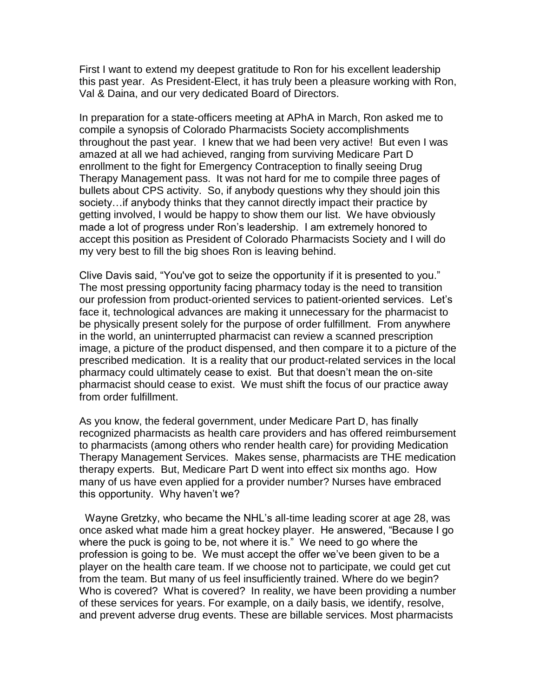First I want to extend my deepest gratitude to Ron for his excellent leadership this past year. As President-Elect, it has truly been a pleasure working with Ron, Val & Daina, and our very dedicated Board of Directors.

In preparation for a state-officers meeting at APhA in March, Ron asked me to compile a synopsis of Colorado Pharmacists Society accomplishments throughout the past year. I knew that we had been very active! But even I was amazed at all we had achieved, ranging from surviving Medicare Part D enrollment to the fight for Emergency Contraception to finally seeing Drug Therapy Management pass. It was not hard for me to compile three pages of bullets about CPS activity. So, if anybody questions why they should join this society…if anybody thinks that they cannot directly impact their practice by getting involved, I would be happy to show them our list. We have obviously made a lot of progress under Ron's leadership. I am extremely honored to accept this position as President of Colorado Pharmacists Society and I will do my very best to fill the big shoes Ron is leaving behind.

Clive Davis said, "You've got to seize the opportunity if it is presented to you." The most pressing opportunity facing pharmacy today is the need to transition our profession from product-oriented services to patient-oriented services. Let's face it, technological advances are making it unnecessary for the pharmacist to be physically present solely for the purpose of order fulfillment. From anywhere in the world, an uninterrupted pharmacist can review a scanned prescription image, a picture of the product dispensed, and then compare it to a picture of the prescribed medication. It is a reality that our product-related services in the local pharmacy could ultimately cease to exist. But that doesn't mean the on-site pharmacist should cease to exist. We must shift the focus of our practice away from order fulfillment.

As you know, the federal government, under Medicare Part D, has finally recognized pharmacists as health care providers and has offered reimbursement to pharmacists (among others who render health care) for providing Medication Therapy Management Services. Makes sense, pharmacists are THE medication therapy experts. But, Medicare Part D went into effect six months ago. How many of us have even applied for a provider number? Nurses have embraced this opportunity. Why haven't we?

 Wayne Gretzky, who became the NHL's all-time leading scorer at age 28, was once asked what made him a great hockey player. He answered, "Because I go where the puck is going to be, not where it is." We need to go where the profession is going to be. We must accept the offer we've been given to be a player on the health care team. If we choose not to participate, we could get cut from the team. But many of us feel insufficiently trained. Where do we begin? Who is covered? What is covered? In reality, we have been providing a number of these services for years. For example, on a daily basis, we identify, resolve, and prevent adverse drug events. These are billable services. Most pharmacists